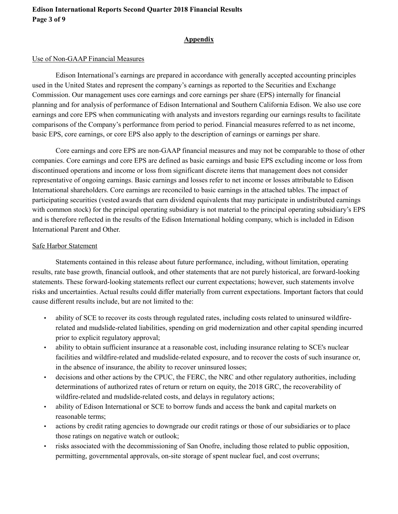#### **Appendix**

## Use of Non-GAAP Financial Measures

Edison International's earnings are prepared in accordance with generally accepted accounting principles used in the United States and represent the company's earnings as reported to the Securities and Exchange Commission. Our management uses core earnings and core earnings per share (EPS) internally for financial planning and for analysis of performance of Edison International and Southern California Edison. We also use core earnings and core EPS when communicating with analysts and investors regarding our earnings results to facilitate comparisons of the Company's performance from period to period. Financial measures referred to as net income, basic EPS, core earnings, or core EPS also apply to the description of earnings or earnings per share.

Core earnings and core EPS are non-GAAP financial measures and may not be comparable to those of other companies. Core earnings and core EPS are defined as basic earnings and basic EPS excluding income or loss from discontinued operations and income or loss from significant discrete items that management does not consider representative of ongoing earnings. Basic earnings and losses refer to net income or losses attributable to Edison International shareholders. Core earnings are reconciled to basic earnings in the attached tables. The impact of participating securities (vested awards that earn dividend equivalents that may participate in undistributed earnings with common stock) for the principal operating subsidiary is not material to the principal operating subsidiary's EPS and is therefore reflected in the results of the Edison International holding company, which is included in Edison International Parent and Other.

## Safe Harbor Statement

Statements contained in this release about future performance, including, without limitation, operating results, rate base growth, financial outlook, and other statements that are not purely historical, are forward-looking statements. These forward-looking statements reflect our current expectations; however, such statements involve risks and uncertainties. Actual results could differ materially from current expectations. Important factors that could cause different results include, but are not limited to the:

- ability of SCE to recover its costs through regulated rates, including costs related to uninsured wildfirerelated and mudslide-related liabilities, spending on grid modernization and other capital spending incurred prior to explicit regulatory approval;
- ability to obtain sufficient insurance at a reasonable cost, including insurance relating to SCE's nuclear facilities and wildfire-related and mudslide-related exposure, and to recover the costs of such insurance or, in the absence of insurance, the ability to recover uninsured losses;
- decisions and other actions by the CPUC, the FERC, the NRC and other regulatory authorities, including determinations of authorized rates of return or return on equity, the 2018 GRC, the recoverability of wildfire-related and mudslide-related costs, and delays in regulatory actions;
- ability of Edison International or SCE to borrow funds and access the bank and capital markets on reasonable terms;
- actions by credit rating agencies to downgrade our credit ratings or those of our subsidiaries or to place those ratings on negative watch or outlook;
- risks associated with the decommissioning of San Onofre, including those related to public opposition, permitting, governmental approvals, on-site storage of spent nuclear fuel, and cost overruns;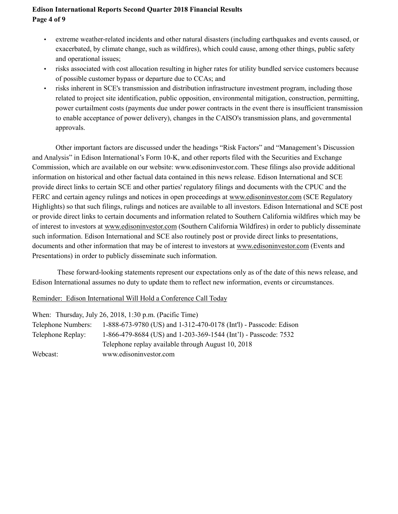## **Edison International Reports Second Quarter 2018 Financial Results Page 4 of 9**

- extreme weather-related incidents and other natural disasters (including earthquakes and events caused, or exacerbated, by climate change, such as wildfires), which could cause, among other things, public safety and operational issues;
- risks associated with cost allocation resulting in higher rates for utility bundled service customers because of possible customer bypass or departure due to CCAs; and
- risks inherent in SCE's transmission and distribution infrastructure investment program, including those related to project site identification, public opposition, environmental mitigation, construction, permitting, power curtailment costs (payments due under power contracts in the event there is insufficient transmission to enable acceptance of power delivery), changes in the CAISO's transmission plans, and governmental approvals.

Other important factors are discussed under the headings "Risk Factors" and "Management's Discussion and Analysis" in Edison International's Form 10-K, and other reports filed with the Securities and Exchange Commission, which are available on our website: www.edisoninvestor.com. These filings also provide additional information on historical and other factual data contained in this news release. Edison International and SCE provide direct links to certain SCE and other parties' regulatory filings and documents with the CPUC and the FERC and certain agency rulings and notices in open proceedings at www.edisoninvestor.com (SCE Regulatory Highlights) so that such filings, rulings and notices are available to all investors. Edison International and SCE post or provide direct links to certain documents and information related to Southern California wildfires which may be of interest to investors at www.edisoninvestor.com (Southern California Wildfires) in order to publicly disseminate such information. Edison International and SCE also routinely post or provide direct links to presentations, documents and other information that may be of interest to investors at www.edisoninvestor.com (Events and Presentations) in order to publicly disseminate such information.

These forward-looking statements represent our expectations only as of the date of this news release, and Edison International assumes no duty to update them to reflect new information, events or circumstances.

Reminder: Edison International Will Hold a Conference Call Today

|                    | When: Thursday, July 26, 2018, 1:30 p.m. (Pacific Time)           |
|--------------------|-------------------------------------------------------------------|
| Telephone Numbers: | 1-888-673-9780 (US) and 1-312-470-0178 (Int'l) - Passcode: Edison |
| Telephone Replay:  | 1-866-479-8684 (US) and 1-203-369-1544 (Int'l) - Passcode: 7532   |
|                    | Telephone replay available through August 10, 2018                |
| Webcast:           | www.edisoninvestor.com                                            |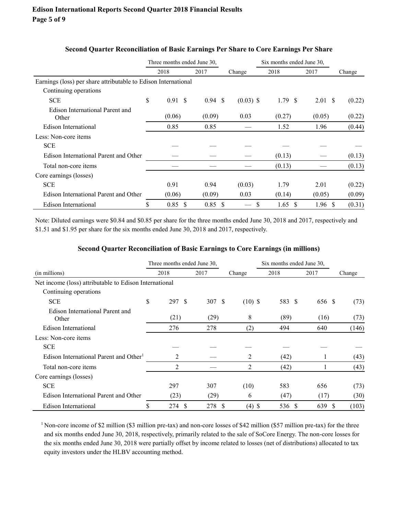|                                                                | Three months ended June 30, |                   |              | Six months ended June 30, |                    |        |
|----------------------------------------------------------------|-----------------------------|-------------------|--------------|---------------------------|--------------------|--------|
|                                                                | 2018                        | 2017              | Change       | 2018                      | 2017               | Change |
| Earnings (loss) per share attributable to Edison International |                             |                   |              |                           |                    |        |
| Continuing operations                                          |                             |                   |              |                           |                    |        |
| <b>SCE</b>                                                     | \$<br>$0.91 \text{ }$ \$    | $0.94 \text{ } $$ | $(0.03)$ \$  | 1.79S                     | $2.01 \text{ }$ \$ | (0.22) |
| Edison International Parent and<br>Other                       | (0.06)                      | (0.09)            | 0.03         | (0.27)                    | (0.05)             | (0.22) |
| Edison International                                           | 0.85                        | 0.85              |              | 1.52                      | 1.96               | (0.44) |
| Less: Non-core items                                           |                             |                   |              |                           |                    |        |
| <b>SCE</b>                                                     |                             |                   |              |                           |                    |        |
| Edison International Parent and Other                          |                             |                   |              | (0.13)                    |                    | (0.13) |
| Total non-core items                                           |                             |                   |              | (0.13)                    |                    | (0.13) |
| Core earnings (losses)                                         |                             |                   |              |                           |                    |        |
| <b>SCE</b>                                                     | 0.91                        | 0.94              | (0.03)       | 1.79                      | 2.01               | (0.22) |
| Edison International Parent and Other                          | (0.06)                      | (0.09)            | 0.03         | (0.14)                    | (0.05)             | (0.09) |
| Edison International                                           | \$<br>$0.85$ \$             | $0.85$ \$         | <sup>S</sup> | $1.65 \text{ }$ \$        | 1.96 <sup>°</sup>  | (0.31) |

#### **Second Quarter Reconciliation of Basic Earnings Per Share to Core Earnings Per Share**

Note: Diluted earnings were \$0.84 and \$0.85 per share for the three months ended June 30, 2018 and 2017, respectively and \$1.51 and \$1.95 per share for the six months ended June 30, 2018 and 2017, respectively.

#### **Second Quarter Reconciliation of Basic Earnings to Core Earnings (in millions)**

|                                                        |    | Three months ended June 30, |        |           | Six months ended June 30, |          |        |  |
|--------------------------------------------------------|----|-----------------------------|--------|-----------|---------------------------|----------|--------|--|
| (in millions)                                          |    | 2018                        | 2017   | Change    | 2018                      | 2017     | Change |  |
| Net income (loss) attributable to Edison International |    |                             |        |           |                           |          |        |  |
| Continuing operations                                  |    |                             |        |           |                           |          |        |  |
| <b>SCE</b>                                             | \$ | 297S                        | 307 \$ | $(10)$ \$ | 583 \$                    | 656 \$   | (73)   |  |
| Edison International Parent and<br>Other               |    | (21)                        | (29)   | 8         | (89)                      | (16)     | (73)   |  |
| Edison International                                   |    | 276                         | 278    | (2)       | 494                       | 640      | (146)  |  |
| Less: Non-core items                                   |    |                             |        |           |                           |          |        |  |
| <b>SCE</b>                                             |    |                             |        |           |                           |          |        |  |
| Edison International Parent and Other <sup>1</sup>     |    | 2                           |        | 2         | (42)                      |          | (43)   |  |
| Total non-core items                                   |    | 2                           |        | 2         | (42)                      |          | (43)   |  |
| Core earnings (losses)                                 |    |                             |        |           |                           |          |        |  |
| <b>SCE</b>                                             |    | 297                         | 307    | (10)      | 583                       | 656      | (73)   |  |
| Edison International Parent and Other                  |    | (23)                        | (29)   | 6         | (47)                      | (17)     | (30)   |  |
| Edison International                                   | \$ | 274 \$                      | 278 \$ | $(4)$ \$  | 536<br>-S                 | 639<br>S | (103)  |  |

<sup>1</sup>Non-core income of \$2 million (\$3 million pre-tax) and non-core losses of \$42 million (\$57 million pre-tax) for the three and six months ended June 30, 2018, respectively, primarily related to the sale of SoCore Energy. The non-core losses for the six months ended June 30, 2018 were partially offset by income related to losses (net of distributions) allocated to tax equity investors under the HLBV accounting method.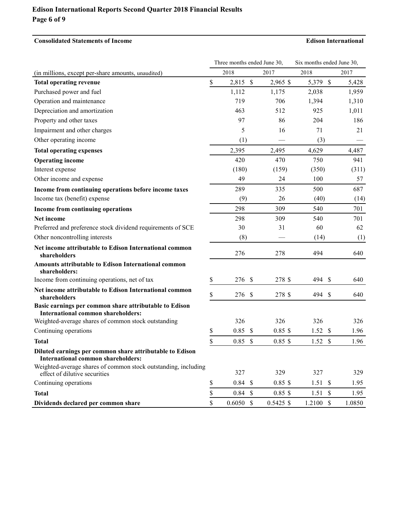## **Edison International Reports Second Quarter 2018 Financial Results Page 6 of 9**

### **Consolidated Statements of Income Edison International**

|                                                                                                       |    | Three months ended June 30, |               | Six months ended June 30, |           |    |        |
|-------------------------------------------------------------------------------------------------------|----|-----------------------------|---------------|---------------------------|-----------|----|--------|
| (in millions, except per-share amounts, unaudited)                                                    |    | 2018                        |               | 2017                      | 2018      |    | 2017   |
| <b>Total operating revenue</b>                                                                        | \$ | 2,815 \$                    |               | 2,965 \$                  | 5,379 \$  |    | 5,428  |
| Purchased power and fuel                                                                              |    | 1,112                       |               | 1,175                     | 2,038     |    | 1,959  |
| Operation and maintenance                                                                             |    | 719                         |               | 706                       | 1,394     |    | 1,310  |
| Depreciation and amortization                                                                         |    | 463                         |               | 512                       | 925       |    | 1,011  |
| Property and other taxes                                                                              |    | 97                          |               | 86                        | 204       |    | 186    |
| Impairment and other charges                                                                          |    | 5                           |               | 16                        | 71        |    | 21     |
| Other operating income                                                                                |    | (1)                         |               |                           | (3)       |    |        |
| <b>Total operating expenses</b>                                                                       |    | 2,395                       |               | 2,495                     | 4,629     |    | 4,487  |
| <b>Operating income</b>                                                                               |    | 420                         |               | 470                       | 750       |    | 941    |
| Interest expense                                                                                      |    | (180)                       |               | (159)                     | (350)     |    | (311)  |
| Other income and expense                                                                              |    | 49                          |               | 24                        | 100       |    | 57     |
| Income from continuing operations before income taxes                                                 |    | 289                         |               | 335                       | 500       |    | 687    |
| Income tax (benefit) expense                                                                          |    | (9)                         |               | 26                        | (40)      |    | (14)   |
| Income from continuing operations                                                                     |    | 298                         |               | 309                       | 540       |    | 701    |
| Net income                                                                                            |    | 298                         |               | 309                       | 540       |    | 701    |
| Preferred and preference stock dividend requirements of SCE                                           |    | 30                          |               | 31                        | 60        |    | 62     |
| Other noncontrolling interests                                                                        |    | (8)                         |               |                           | (14)      |    | (1)    |
| Net income attributable to Edison International common<br>shareholders                                |    | 276                         |               | 278                       | 494       |    | 640    |
| <b>Amounts attributable to Edison International common</b><br>shareholders:                           |    |                             |               |                           |           |    |        |
| Income from continuing operations, net of tax                                                         | \$ | 276                         | $\mathcal{S}$ | 278 \$                    | 494       | \$ | 640    |
| Net income attributable to Edison International common<br>shareholders                                | \$ | 276                         | \$            | 278 \$                    | 494       | \$ | 640    |
| Basic earnings per common share attributable to Edison<br><b>International common shareholders:</b>   |    |                             |               |                           |           |    |        |
| Weighted-average shares of common stock outstanding                                                   |    | 326                         |               | 326                       | 326       |    | 326    |
| Continuing operations                                                                                 | \$ | 0.85                        | \$            | $0.85$ \$                 | 1.52S     |    | 1.96   |
| <b>Total</b>                                                                                          | \$ | 0.85                        | \$            | $0.85$ \$                 | 1.52S     |    | 1.96   |
| Diluted earnings per common share attributable to Edison<br><b>International common shareholders:</b> |    |                             |               |                           |           |    |        |
| Weighted-average shares of common stock outstanding, including<br>effect of dilutive securities       |    | 327                         |               | 329                       | 327       |    | 329    |
| Continuing operations                                                                                 | \$ | $0.84$ \$                   |               | $0.85$ \$                 | 1.51S     |    | 1.95   |
| <b>Total</b>                                                                                          | \$ | 0.84S                       |               | $0.85$ \$                 | 1.51S     |    | 1.95   |
| Dividends declared per common share                                                                   | \$ | $0.6050$ \$                 |               | $0.5425$ \$               | 1.2100 \$ |    | 1.0850 |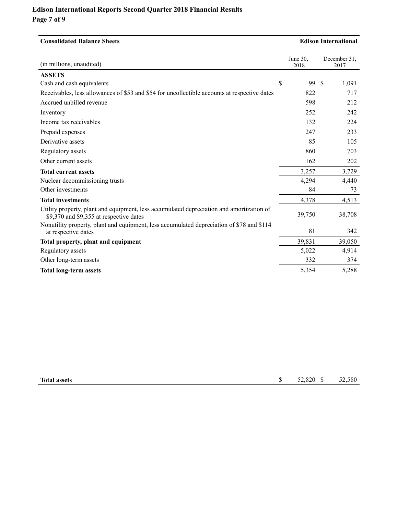# **Edison International Reports Second Quarter 2018 Financial Results Page 7 of 9**

| <b>Consolidated Balance Sheets</b>                                                                                                  |               |                  |    | <b>Edison International</b> |  |  |  |
|-------------------------------------------------------------------------------------------------------------------------------------|---------------|------------------|----|-----------------------------|--|--|--|
| (in millions, unaudited)                                                                                                            |               | June 30.<br>2018 |    | December 31,<br>2017        |  |  |  |
| <b>ASSETS</b>                                                                                                                       |               |                  |    |                             |  |  |  |
| Cash and cash equivalents                                                                                                           | $\mathcal{S}$ | 99               | \$ | 1,091                       |  |  |  |
| Receivables, less allowances of \$53 and \$54 for uncollectible accounts at respective dates                                        |               | 822              |    | 717                         |  |  |  |
| Accrued unbilled revenue                                                                                                            |               | 598              |    | 212                         |  |  |  |
| Inventory                                                                                                                           |               | 252              |    | 242                         |  |  |  |
| Income tax receivables                                                                                                              |               | 132              |    | 224                         |  |  |  |
| Prepaid expenses                                                                                                                    |               | 247              |    | 233                         |  |  |  |
| Derivative assets                                                                                                                   |               | 85               |    | 105                         |  |  |  |
| Regulatory assets                                                                                                                   |               | 860              |    | 703                         |  |  |  |
| Other current assets                                                                                                                |               | 162              |    | 202                         |  |  |  |
| <b>Total current assets</b>                                                                                                         |               | 3,257            |    | 3,729                       |  |  |  |
| Nuclear decommissioning trusts                                                                                                      |               | 4,294            |    | 4,440                       |  |  |  |
| Other investments                                                                                                                   |               | 84               |    | 73                          |  |  |  |
| <b>Total investments</b>                                                                                                            |               | 4,378            |    | 4,513                       |  |  |  |
| Utility property, plant and equipment, less accumulated depreciation and amortization of<br>\$9,370 and \$9,355 at respective dates |               | 39,750           |    | 38,708                      |  |  |  |
| Nonutility property, plant and equipment, less accumulated depreciation of \$78 and \$114<br>at respective dates                    |               | 81               |    | 342                         |  |  |  |
| Total property, plant and equipment                                                                                                 |               | 39,831           |    | 39,050                      |  |  |  |
| Regulatory assets                                                                                                                   |               | 5,022            |    | 4,914                       |  |  |  |
| Other long-term assets                                                                                                              |               | 332              |    | 374                         |  |  |  |
| <b>Total long-term assets</b>                                                                                                       |               | 5,354            |    | 5,288                       |  |  |  |

| <b>Total assets</b> |  | 52,820<br>and the contract of the contract of |  | 52.580 |
|---------------------|--|-----------------------------------------------|--|--------|
|---------------------|--|-----------------------------------------------|--|--------|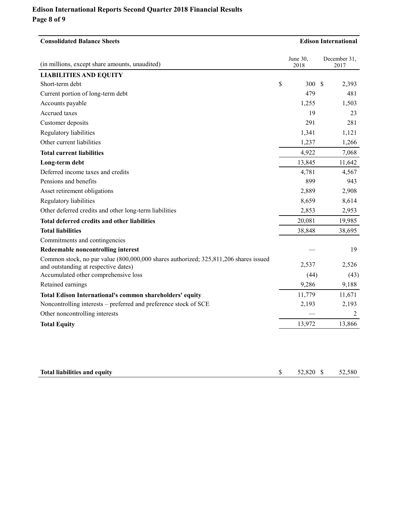# **Edison International Reports Second Quarter 2018 Financial Results Page 8 of 9**

| <b>Consolidated Balance Sheets</b>                                                                                           | <b>Edison International</b> |                  |                      |
|------------------------------------------------------------------------------------------------------------------------------|-----------------------------|------------------|----------------------|
| (in millions, except share amounts, unaudited)                                                                               |                             | June 30,<br>2018 | December 31,<br>2017 |
| <b>LIABILITIES AND EQUITY</b>                                                                                                |                             |                  |                      |
| Short-term debt                                                                                                              | \$                          | 300 \$           | 2,393                |
| Current portion of long-term debt                                                                                            |                             | 479              | 481                  |
| Accounts payable                                                                                                             |                             | 1,255            | 1,503                |
| Accrued taxes                                                                                                                |                             | 19               | 23                   |
| Customer deposits                                                                                                            |                             | 291              | 281                  |
| Regulatory liabilities                                                                                                       |                             | 1,341            | 1,121                |
| Other current liabilities                                                                                                    |                             | 1,237            | 1,266                |
| <b>Total current liabilities</b>                                                                                             |                             | 4,922            | 7,068                |
| Long-term debt                                                                                                               |                             | 13,845           | 11,642               |
| Deferred income taxes and credits                                                                                            |                             | 4,781            | 4,567                |
| Pensions and benefits                                                                                                        |                             | 899              | 943                  |
| Asset retirement obligations                                                                                                 |                             | 2,889            | 2,908                |
| Regulatory liabilities                                                                                                       |                             | 8,659            | 8,614                |
| Other deferred credits and other long-term liabilities                                                                       |                             | 2,853            | 2,953                |
| Total deferred credits and other liabilities                                                                                 |                             | 20,081           | 19,985               |
| <b>Total liabilities</b>                                                                                                     |                             | 38,848           | 38,695               |
| Commitments and contingencies                                                                                                |                             |                  |                      |
| Redeemable noncontrolling interest                                                                                           |                             |                  | 19                   |
| Common stock, no par value (800,000,000 shares authorized; 325,811,206 shares issued<br>and outstanding at respective dates) |                             | 2,537            | 2,526                |
| Accumulated other comprehensive loss                                                                                         |                             | (44)             | (43)                 |
| Retained earnings                                                                                                            |                             | 9,286            | 9,188                |
| Total Edison International's common shareholders' equity                                                                     |                             | 11,779           | 11,671               |
| Noncontrolling interests – preferred and preference stock of SCE                                                             |                             | 2,193            | 2,193                |
| Other noncontrolling interests                                                                                               |                             |                  | 2                    |
| <b>Total Equity</b>                                                                                                          |                             | 13,972           | 13,866               |
|                                                                                                                              |                             |                  |                      |

| Total liabilities and equity |  | 52,820 \$ 52,580 |  |
|------------------------------|--|------------------|--|
|------------------------------|--|------------------|--|